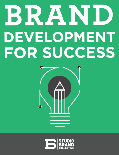# BRAND DEVELOPMENT FOR SUCCESS



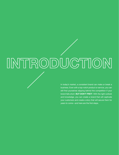# INTRODUCTION

In today's market, a consistent brand can make or break a business. Even with a top-notch product or service, you can still find yourselves slipping behind the competition if your brand falls short. **BUT DON'T FRET!** With the right outlook and knowledge, you can create a brand that will captivate your customers and create a story that will secure them for years to come—and here are the first steps.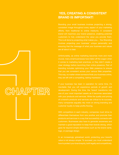### **YES, CREATING A CONSISTENT BRAND IS IMPORTANT!**

Branding your small business involves projecting a strong, consistent image throughout every aspect of your marketing efforts, from traditional to online mediums. A consistent brand will maximize your brand presence, enabling potential customers to fully understand the value you provide them. This is all done by projecting what makes you… You! Branding involves projecting your business' unique personality and ensuring that the message of what your business and values are all about is clear.

Unfortunately, as online marketing becomes more and more crucial, many small businesses have fallen off the wagon when it comes to marketing best practices, or they didn't create a clear strategy before launching their online presence. Part of branding includes optimizing your Web presence to ensure that you are consistent across your various Web properties. This way, no matter where someone finds your business online, they are left with a compelling, lasting impression.

If your business has been in operation for some time, it's inevitable that you will experience periods of growth and development. During this time, the 'brand' transforms into one of your most important assets as it becomes associated with your products and services. While the quality and pricing of a brand's products and services are critical to its success, many companies arguably rely more on strong branding and customer loyalty to keep profits flowing.

With competitors in each industry, companies must strive to products and services in a way that successfully connects with customers. Businesses also have to generate awareness and maintain a good reputation to keep their brands strong, which goes far beyond simple distinctions such as the brand name, logo, or package design.

In an increasingly globalized world, protecting your brand's value is not always simple. To succeed, you must understand how to protect your brand equity, both legally and competitively.

# **CHAPTER**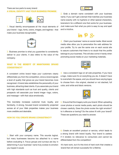### There are two parts to every brand: **A VISUAL IDENTITY AND YOUR BUSINESS PROMISE.**



1. Visual identity encompasses all the visual elements of your brand – logo, fonts, colors, images, and taglines – that make your business recognizable.



2. Business promise is what you guarantee to consistently deliver to your clients. It also refers to the value of the company.

### **WHAT IS THE BENEFIT OF MAINTAINING BRAND CONSISTENCY?**

A consistent online brand helps your customers clearly differentiate you from the competition, since a brand signals a level of quality that grows as your brand becomes more recognized. A brand also establishes the personality of your business, attracting ideal clients. If you associate your brand with high standards such as trust and quality, clients and prospects will associate your brand image—logo, colors, and message—with that value emotionally.

This inevitably increases customer trust, loyalty, and familiarity. A strong, focused brand consistently projected across all of your Web properties makes your business more credible and desirable.

#### **HOW DO YOU CREATE BRAND CONSISTENCY?**



1. Start with your company name. This sounds logical, but many businesses become too attached to a name before evaluating it. Focus groups and surveys are key in determining if your business' name truly evokes to emotion you hoped it would.

2. Grab a domain name consistent with your business name. If you can't get a domain that matches your business name exactly with no hyphens or other special characters, brainstorm for a different one that works for your business. Just make sure that what you pick is easy to say and spell and is intuitive.

# in  $\mathcal{P}$   $S_{+}$

3. Claim your business' name on social media. Most social media sites allow you to personalize the web address for your profile. Try to use the same one on each social site to assure customers that there is no doubt that the profile belongs to your business. This will also come in handy when promoting social media on your marketing materials.



4. Use a consistent logo on all web properties. If you have a logo, make sure it's on everything you do. It doesn't have to overwhelm the space, and you should have varying logos to choose from—the original, stacked or not stacked, full color, and white and black versions.



5. Ensure that the imagery suits your brand. When uploading cover photos or social media posts, each photo should be chosen carefully. Does the photo evoke the right emotion? Is it offensive or boring? Do the colors fit with your brand? These are questions you need to answer.



6. Create an excellent product or service, which leads to a strong brand with brand loyalty. Your brand is useless if it renders no relevance to consumers and cannot be differentiated from the competition!

It's hard work, but it's this kind of hard work that creates a brand that will remain successful for a lifetime.

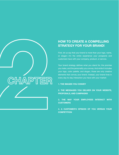### **HOW TO CREATE A COMPELLING STRATEGY FOR YOUR BRAND!**

First, let us say that your brand is more than your logo, name, or slogan—it's the entire experience your prospects and customers have with your company, product, or service.

Your brand strategy defines what you stand for, the promise you make, and the personality you convey. And while it includes your logo, color palette, and slogan, those are only creative elements that convey your brand. Instead, your brand lives in every day-to-day interaction you have with your market:

#### **1. THE IMAGES YOU CONVEY**

CHAPTER

**2. THE MESSAGES YOU DELIVER ON YOUR WEBSITE, PROPOSALS, AND CAMPAIGNS**

**3. THE WAY YOUR EMPLOYEES INTERACT WITH CUSTOMERS**

**4. A CUSTOMER'S OPINION OF YOU VERSUS YOUR COMPETITION**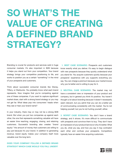# **SO WHAT'S THE VALUE OF CREATING A DEFINED BRAND STRATEGY?**

Branding is crucial for products and services sold in huge consumer markets. It's also important in B2B because it helps you stand out from your competition. Your brand strategy brings your competitive positioning to life, and works to position you as a certain "something" in the mind of your prospects and customers.

Think about successful consumer brands like Disney, Tiffany, or Starbucks. You probably know what each brand represents. Now imagine that you're competing against one of these companies. If you want to capture significant market share, start with a strong brand strategy or you may not get far. What ideas pop into consumers' heads when they see or hear your brand name?

In your industry, there may or may not be a strong B2B brand. But when you put two companies up against each other, the one that represents something valuable will have an easier time reaching, engaging, closing, and retaining customers. Successful branding also creates "brand equity:" the amount of money that customers are willing to pay just because it's your brand. In addition to generating revenue, brand equity makes your company itself more valuable over the long term.

**DOES YOUR COMPANY FOLLOW A DEFINED BRAND STRATEGY? WHICH CASE WOULD YOU FALL UNDER?**

**1. BEST CASE SCENARIO:** Prospects and customers know exactly what you deliver. It's easy to begin dialogue with new prospects because they quickly understand what you stand for. You acquire customers quickly because your prospects' experience with you supports everything you say. You can charge a premium because your market knows why you're better and is willing to pay for it.

**2. NEUTRAL CASE SCENARIO:** The market may not have a consistent view or impression of your product and company, but in general you think it's positive. You haven't thought a lot about branding because it doesn't necessarily seem relevant, but you admit that you can do a better job of communicating consistently with the market. You're not helping yourself, but you're not hurting yourself, either.

**3. WORST CASE SCENARIO:** You don't have a brand strategy, and it shows. It's more difficult to communicate with prospects and convince them to buy. They don't have an impression of your product/service or why it's better. What you do, what you say, and how you say it may contradict each other and confuse your prospects. Competitors typically have an easier time acquiring customers.

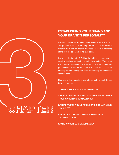## **ESTABLISHING YOUR BRAND AND YOUR BRAND'S PERSONALITY**

Creating a brand is as much about science as it is an art. The process involved in crafting your brand will be uniquely different from that of another business. The art of branding starts with the science behind marketing.

So what's the first step? Asking the right questions. Ask indepth questions to reach the right information. The better the question, the better the answer! With expectations and preconceived ideas on the table, it reduces the chance of creating a brand identity that does not embody your business value or belief.

Here are a few questions you should ask yourself before building your brand:

- **1. WHAT IS YOUR UNIQUE SELLING POINT?**
- **2. HOW DO YOU WANT YOUR CUSTOMER TO FEEL AFTER USING YOUR PRODUCT/SERVICE?**
- **3. WHAT VALUES WOULD YOU LIKE TO INSTILL IN YOUR BUSINESS?**
- **4. HOW CAN YOU SET YOURSELF APART FROM COMPETITORS?**
- **5. WHO IS YOUR TARGET AUDIENCE?**

CHAPTER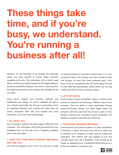# **These things take time, and if you're busy, we understand. You're running a business after all!**

However, it's still important to go through this discovery phase and force yourself to answer these important questions and more. This information will be what's used later to conduct your market research on the target audience, as well as competitor analyses. You want to make sure from the beginning that every color, design, and strategy will set you apart.

Once you've created your branding materials and established your design, it's time to establish the rest of your brand's personality. By forming a personality across all marketing materials, your mission and sales voice will remain consistent. Start with your website and, most importantly, your most informational page.

#### **1. ALL ABOUT YOU**

On a company's website, the About page is often the most important. This information will lay the groundwork for your marketing team and the rest of your marketing collateral, both online and offline.

### **2. START WITH YOUR ABOUT, MISSION, AND VISION. WHO ARE YOU?**

How did the company come to be? You can even include

an anecdote about an important moment early on in your company's history. Your mission and vision should be clear and concise; no more than three sentences each. From there, move on to employee bios and showcasing the best of their skills and personalities. Here's where you can get creative and show off your company's talent.

#### **3. LET'S GET SOCIAL**

Social media's casual atmosphere makes it another great avenue for creativity and showing a different side of your company. Don't be afraid to show personality through behind-the-scenes photos and extra tidbits about the company. Not every post here has to have a sale in mind. Instead, promote your company's brand recognition and introduce yourself to potential new customers.

#### **4. TRADITIONAL BRANDING MATERIALS**

A brochure isn't just a piece of paper. For many companies, a brochure or direct mail piece may still be a great way to introduce your company, so make sure it's a great first impression. Get creative with your designs to set your company apart from the competition. Even something as simple as upgrading from a traditional trifold brochure to a bi-fold can update a company's look.

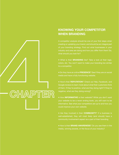### **KNOWING YOUR COMPETITOR WHEN BRANDING**

A competitor analysis should be one of your first steps when creating or updating your brand, and should be an integral part of your branding strategy. Find out what businesses in your industry and area are doing and how you differ from them! So, what should you look for?

● What is their **BRANDING** like? Take a look at their logo, colors, etc. You won't want to make your branding too similar to a competitor.

● Do they have an online **PRESENCE**? See if they are on social media and have a fully functioning website.

● How's their **REPUTATION**? Check out Yelp, Facebook, and Google reviews to learn more about what their customers think of them. If they're positive, what are they doing right? If they're negative, what are they doing wrong?

● How **INFORMATIVE** is their website? While you don't want your website to be a never ending book, you still want to be informative. See what your competitors are up to and how you could improve your own website.

● Are they involved in their **COMMUNITY**? If a business is well-established, they will most likely (and should) have a community involvement aspect as a part of their branding.

● How is their **BRAND AWARENESS**? Do you see them in the media, winning awards, or the focus of your industry?

CHAPTER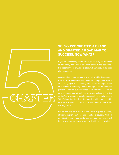## **SO, YOU'VE CREATED A BRAND AND DRAFTED A ROAD MAP TO SUCCESS. NOW WHAT?**

If you've successfully made it here, you'll likely be surprised at how many items you didn't think about in the beginning. But hopefully, your branding strategy will have provided a solid plan for success.

If it's an established business, the rebranding process itself is as challenging as it is rewarding, but it is just the beginning of platforms, from its business cards to its vehicle fleet. And for an existing company, it's almost always unrealistic to "flip the switch" on a new brand and change everything simultaneously. Yet, it's important to roll out the branding within a reasonable timeframe to avoid confusion with your target audience and

CHAPTER

strategy, implementation, and careful execution. With a prioritized checklist as a guide, your company can implement its new look in a manageable way, while still making a splash.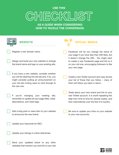# **USE THIS** CHECKLIST

**AS A GUIDE WHEN CONSIDERING HOW TO TACKLE THE CONVERSION:**

| WEBSITE                                                                                                                                                                                                            | <b>SOCIAL MEDIA</b>                                                                                                                                                                               |
|--------------------------------------------------------------------------------------------------------------------------------------------------------------------------------------------------------------------|---------------------------------------------------------------------------------------------------------------------------------------------------------------------------------------------------|
| Register a new domain name.                                                                                                                                                                                        | Facebook will let you change the name of<br>your page if you have less than 200 likes, but                                                                                                        |
| Design and build your new website or change<br>the brand name and logo on your existing site.                                                                                                                      | it doesn't change the URL. You might want<br>to create a new Facebook page and link to it<br>on your old one, encouraging followers to like<br>your new page                                      |
| If you have a new website, consider whether<br>you will be retaining the old site and, if so, you<br>might consider putting an announcement on<br>your old site inviting users to click through to<br>the new one. | Create a new Twitter account and copy across<br>your list of those that you follow - many of<br>them will follow you back in return.                                                              |
| changing<br>lf<br>you're<br>your<br>existing<br>site,<br>remember to update all your page titles, meta-<br>descriptions, and meta-tags.                                                                            | Tweet about your new brand and link to your<br>new Twitter account. It is worth repeating this<br>step from time to time for several weeks, and<br>then intermittently over the first 3-6 months. |
| Add a blog post or news item to your website<br>to announce the new brand.                                                                                                                                         | Be sure to update your links on your website<br>to your new accounts.                                                                                                                             |
| Update your keywords for SEO.                                                                                                                                                                                      |                                                                                                                                                                                                   |
| Update your listings in online directories.                                                                                                                                                                        |                                                                                                                                                                                                   |
| Send your updated brand to any other                                                                                                                                                                               |                                                                                                                                                                                                   |

websites that mention you and link to your site